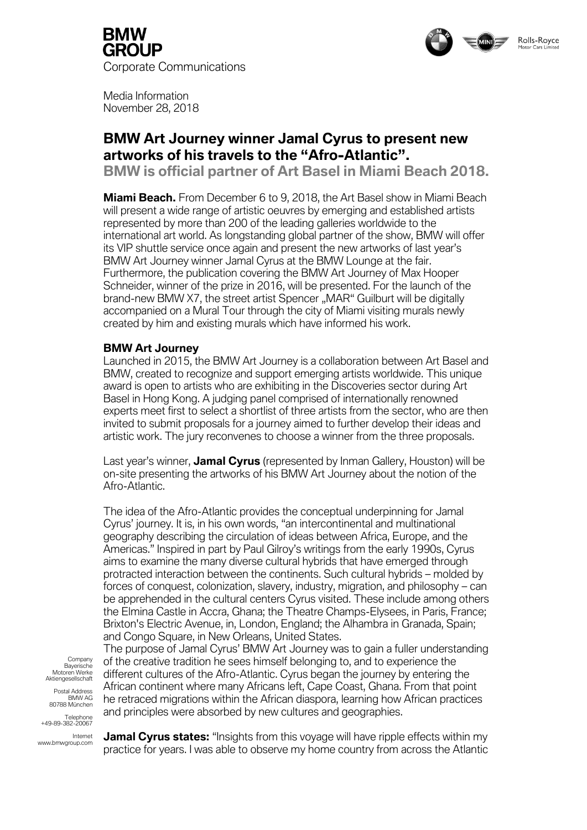



Media Information November 28, 2018

# **BMW Art Journey winner Jamal Cyrus to present new artworks of his travels to the "Afro-Atlantic".**

**BMW is official partner of Art Basel in Miami Beach 2018.**

**Miami Beach.** From December 6 to 9, 2018, the Art Basel show in Miami Beach will present a wide range of artistic oeuvres by emerging and established artists represented by more than 200 of the leading galleries worldwide to the international art world. As longstanding global partner of the show, BMW will offer its VIP shuttle service once again and present the new artworks of last year's BMW Art Journey winner Jamal Cyrus at the BMW Lounge at the fair. Furthermore, the publication covering the BMW Art Journey of Max Hooper Schneider, winner of the prize in 2016, will be presented. For the launch of the brand-new BMW X7, the street artist Spencer "MAR" Guilburt will be digitally accompanied on a Mural Tour through the city of Miami visiting murals newly created by him and existing murals which have informed his work.

## **BMW Art Journey**

Launched in 2015, the BMW Art Journey is a collaboration between Art Basel and BMW, created to recognize and support emerging artists worldwide. This unique award is open to artists who are exhibiting in the Discoveries sector during Art Basel in Hong Kong. A judging panel comprised of internationally renowned experts meet first to select a shortlist of three artists from the sector, who are then invited to submit proposals for a journey aimed to further develop their ideas and artistic work. The jury reconvenes to choose a winner from the three proposals.

Last year's winner, **Jamal Cyrus** (represented by Inman Gallery, Houston) will be on-site presenting the artworks of his BMW Art Journey about the notion of the Afro-Atlantic.

The idea of the Afro-Atlantic provides the conceptual underpinning for Jamal Cyrus' journey. It is, in his own words, "an intercontinental and multinational geography describing the circulation of ideas between Africa, Europe, and the Americas." Inspired in part by Paul Gilroy's writings from the early 1990s, Cyrus aims to examine the many diverse cultural hybrids that have emerged through protracted interaction between the continents. Such cultural hybrids – molded by forces of conquest, colonization, slavery, industry, migration, and philosophy – can be apprehended in the cultural centers Cyrus visited. These include among others the Elmina Castle in Accra, Ghana; the Theatre Champs-Elysees, in Paris, France; Brixton's Electric Avenue, in, London, England; the Alhambra in Granada, Spain; and Congo Square, in New Orleans, United States.

The purpose of Jamal Cyrus' BMW Art Journey was to gain a fuller understanding of the creative tradition he sees himself belonging to, and to experience the different cultures of the Afro-Atlantic. Cyrus began the journey by entering the African continent where many Africans left, Cape Coast, Ghana. From that point he retraced migrations within the African diaspora, learning how African practices and principles were absorbed by new cultures and geographies.

**Company** Bayerische Motoren Werke Aktiengesellschaft

Postal Address BMW AG 80788 München

Telephone +49-89-382-20067

Internet www.bmwgroup.com

**Jamal Cyrus states:** "Insights from this voyage will have ripple effects within my practice for years. I was able to observe my home country from across the Atlantic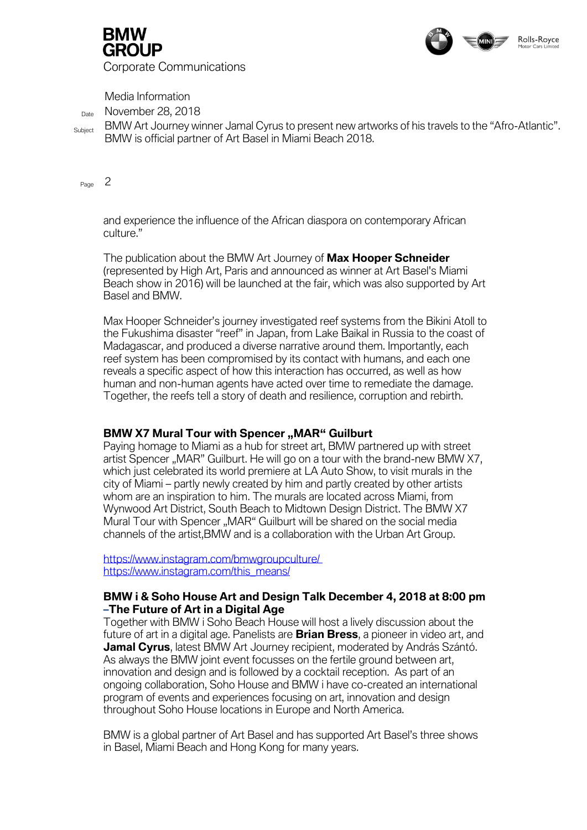

GROUP Corporate Communications

Media Information

 $_{\text{Date}}$  November 28, 2018

Subject BMW Art Journey winner Jamal Cyrus to present new artworks of his travels to the "Afro-Atlantic". BMW is official partner of Art Basel in Miami Beach 2018.

 $P_{\text{A}}$  2

and experience the influence of the African diaspora on contemporary African culture."

The publication about the BMW Art Journey of **Max Hooper Schneider** (represented by High Art, Paris and announced as winner at Art Basel's Miami Beach show in 2016) will be launched at the fair, which was also supported by Art Basel and BMW.

Max Hooper Schneider's journey investigated reef systems from the Bikini Atoll to the Fukushima disaster "reef" in Japan, from Lake Baikal in Russia to the coast of Madagascar, and produced a diverse narrative around them. Importantly, each reef system has been compromised by its contact with humans, and each one reveals a specific aspect of how this interaction has occurred, as well as how human and non-human agents have acted over time to remediate the damage. Together, the reefs tell a story of death and resilience, corruption and rebirth.

## **BMW X7 Mural Tour with Spencer "MAR" Guilburt**

Paying homage to Miami as a hub for street art, BMW partnered up with street artist Spencer "MAR" Guilburt. He will go on a tour with the brand-new BMW X7, which just celebrated its world premiere at LA Auto Show, to visit murals in the city of Miami – partly newly created by him and partly created by other artists whom are an inspiration to him. The murals are located across Miami, from Wynwood Art District, South Beach to Midtown Design District. The BMW X7 Mural Tour with Spencer "MAR" Guilburt will be shared on the social media channels of the artist,BMW and is a collaboration with the Urban Art Group.

[https://www.instagram.com/bmwgroupculture/](https://www.instagram.com/bmwgroupculture/%20https:/www.instagram.com/this_means/)  [https://www.instagram.com/this\\_means/](https://www.instagram.com/bmwgroupculture/%20https:/www.instagram.com/this_means/)

## **BMW i & Soho House Art and Design Talk December 4, 2018 at 8:00 pm –The Future of Art in a Digital Age**

Together with BMW i Soho Beach House will host a lively discussion about the future of art in a digital age. Panelists are **Brian Bress**, a pioneer in video art, and **Jamal Cyrus**, latest BMW Art Journey recipient, moderated by András Szántó. As always the BMW joint event focusses on the fertile ground between art, innovation and design and is followed by a cocktail reception. As part of an ongoing collaboration, Soho House and BMW i have co-created an international program of events and experiences focusing on art, innovation and design throughout Soho House locations in Europe and North America.

BMW is a global partner of Art Basel and has supported Art Basel's three shows in Basel, Miami Beach and Hong Kong for many years.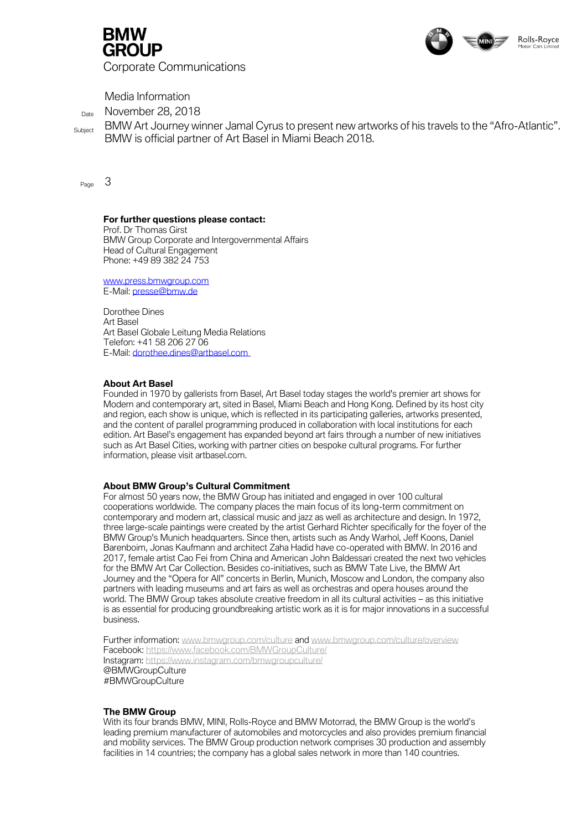



Media Information

Date November 28, 2018

Subject BMW Art Journey winner Jamal Cyrus to present new artworks of his travels to the "Afro-Atlantic". BMW is official partner of Art Basel in Miami Beach 2018.

 $P_{\text{Pone}}$  3

#### **For further questions please contact:**

Prof. Dr Thomas Girst BMW Group Corporate and Intergovernmental Affairs Head of Cultural Engagement Phone: +49 89 382 24 753

[www.press.bmwgroup.com](https://www.press.bmwgroup.com/deutschland) E-Mail[: presse@bmw.de](mailto:presse@bmw.de)

Dorothee Dines Art Basel Art Basel Globale Leitung Media Relations Telefon: +41 58 206 27 06 E-Mail: [dorothee.dines@artbasel.com](mailto:dorothee.dines@artbasel.com)

### *About Art Basel*

*Founded in 1970 by gallerists from Basel, Art Basel today stages the world's premier art shows for Modern and contemporary art, sited in Basel, Miami Beach and Hong Kong. Defined by its host city*  and region, each show is unique, which is reflected in its participating galleries, artworks presented, *and the content of parallel programming produced in collaboration with local institutions for each edition. Art Basel's engagement has expanded beyond art fairs through a number of new initiatives such as Art Basel Cities, working with partner cities on bespoke cultural programs. For further information, please visit artbasel.com.*

#### *About BMW Group's Cultural Commitment*

*For almost 50 years now, the BMW Group has initiated and engaged in over 100 cultural cooperations worldwide. The company places the main focus of its long-term commitment on contemporary and modern art, classical music and jazz as well as architecture and design. In 1972, three large-scale paintings were created by the artist Gerhard Richter specifically for the foyer of the BMW Group's Munich headquarters. Since then, artists such as Andy Warhol, Jeff Koons, Daniel Barenboim, Jonas Kaufmann and architect Zaha Hadid have co-operated with BMW. In 2016 and 2017, female artist Cao Fei from China and American John Baldessari created the next two vehicles*  for the BMW Art Car Collection. Besides co-initiatives, such as BMW Tate Live, the BMW Art *Journey and the "Opera for All" concerts in Berlin, Munich, Moscow and London, the company also partners with leading museums and art fairs as well as orchestras and opera houses around the world. The BMW Group takes absolute creative freedom in all its cultural activities – as this initiative* is as essential for producing groundbreaking artistic work as it is for major innovations in a successful *business.*

Further information[: www.bmwgroup.com/culture](https://www.bmwgroup.com/culture) and [www.bmwgroup.com/culture/overview](https://www.bmwgroup.com/content/dam/bmw-group-websites/bmwgroup_com/responsibility/downloads/en/2015/BMW_Group_CulturalEngagement_en.pdf) Facebook:<https://www.facebook.com/BMWGroupCulture/> Instagram:<https://www.instagram.com/bmwgroupculture/> @BMWGroupCulture #BMWGroupCulture

#### **The BMW Group**

With its four brands BMW, MINI, Rolls-Royce and BMW Motorrad, the BMW Group is the world's leading premium manufacturer of automobiles and motorcycles and also provides premium financial and mobility services. The BMW Group production network comprises 30 production and assembly facilities in 14 countries; the company has a global sales network in more than 140 countries.